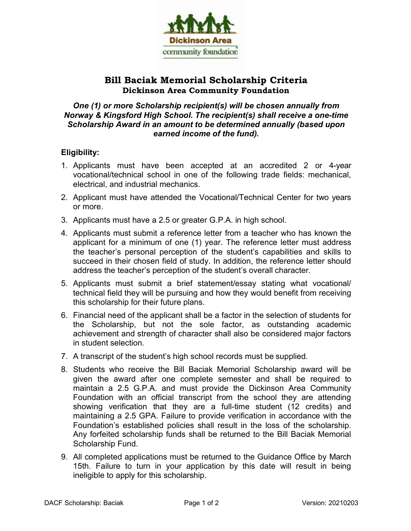

## **Bill Baciak Memorial Scholarship Criteria Dickinson Area Community Foundation**

#### *One (1) or more Scholarship recipient(s) will be chosen annually from Norway & Kingsford High School. The recipient(s) shall receive a one-time Scholarship Award in an amount to be determined annually (based upon earned income of the fund).*

### **Eligibility:**

- 1. Applicants must have been accepted at an accredited 2 or 4-year vocational/technical school in one of the following trade fields: mechanical, electrical, and industrial mechanics.
- 2. Applicant must have attended the Vocational/Technical Center for two years or more.
- 3. Applicants must have a 2.5 or greater G.P.A. in high school.
- 4. Applicants must submit a reference letter from a teacher who has known the applicant for a minimum of one (1) year. The reference letter must address the teacher's personal perception of the student's capabilities and skills to succeed in their chosen field of study. In addition, the reference letter should address the teacher's perception of the student's overall character.
- 5. Applicants must submit a brief statement/essay stating what vocational/ technical field they will be pursuing and how they would benefit from receiving this scholarship for their future plans.
- 6. Financial need of the applicant shall be a factor in the selection of students for the Scholarship, but not the sole factor, as outstanding academic achievement and strength of character shall also be considered major factors in student selection.
- 7. A transcript of the student's high school records must be supplied.
- 8. Students who receive the Bill Baciak Memorial Scholarship award will be given the award after one complete semester and shall be required to maintain a 2.5 G.P.A. and must provide the Dickinson Area Community Foundation with an official transcript from the school they are attending showing verification that they are a full-time student (12 credits) and maintaining a 2.5 GPA. Failure to provide verification in accordance with the Foundation's established policies shall result in the loss of the scholarship. Any forfeited scholarship funds shall be returned to the Bill Baciak Memorial Scholarship Fund.
- 9. All completed applications must be returned to the Guidance Office by March 15th. Failure to turn in your application by this date will result in being ineligible to apply for this scholarship.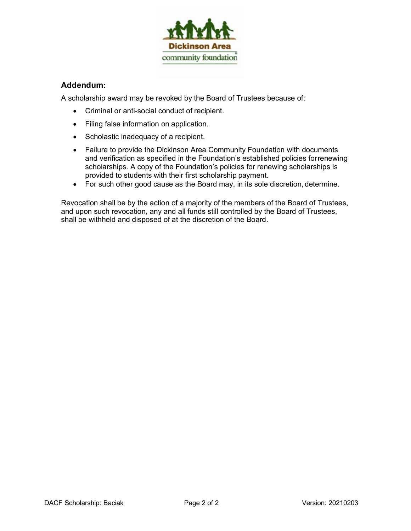

#### **Addendum:**

A scholarship award may be revoked by the Board of Trustees because of:

- Criminal or anti-social conduct of recipient.
- Filing false information on application.
- Scholastic inadequacy of a recipient.
- Failure to provide the Dickinson Area Community Foundation with documents and verification as specified in the Foundation's established policies forrenewing scholarships. A copy of the Foundation's policies for renewing scholarships is provided to students with their first scholarship payment.
- For such other good cause as the Board may, in its sole discretion, determine.

Revocation shall be by the action of a majority of the members of the Board of Trustees, and upon such revocation, any and all funds still controlled by the Board of Trustees, shall be withheld and disposed of at the discretion of the Board.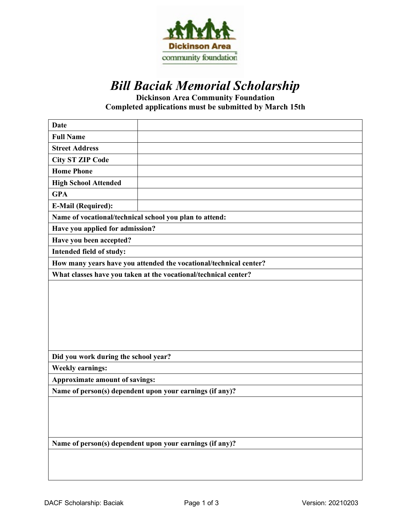

# *Bill Baciak Memorial Scholarship*

**Dickinson Area Community Foundation Completed applications must be submitted by March 15th**

| <b>Date</b>                                                       |  |  |  |  |
|-------------------------------------------------------------------|--|--|--|--|
| <b>Full Name</b>                                                  |  |  |  |  |
| <b>Street Address</b>                                             |  |  |  |  |
| <b>City ST ZIP Code</b>                                           |  |  |  |  |
| <b>Home Phone</b>                                                 |  |  |  |  |
| <b>High School Attended</b>                                       |  |  |  |  |
| <b>GPA</b>                                                        |  |  |  |  |
| <b>E-Mail (Required):</b>                                         |  |  |  |  |
| Name of vocational/technical school you plan to attend:           |  |  |  |  |
| Have you applied for admission?                                   |  |  |  |  |
| Have you been accepted?                                           |  |  |  |  |
| Intended field of study:                                          |  |  |  |  |
| How many years have you attended the vocational/technical center? |  |  |  |  |
| What classes have you taken at the vocational/technical center?   |  |  |  |  |
|                                                                   |  |  |  |  |
| Did you work during the school year?                              |  |  |  |  |
| <b>Weekly earnings:</b>                                           |  |  |  |  |
| Approximate amount of savings:                                    |  |  |  |  |
| Name of person(s) dependent upon your earnings (if any)?          |  |  |  |  |
|                                                                   |  |  |  |  |
| Name of person(s) dependent upon your earnings (if any)?          |  |  |  |  |
|                                                                   |  |  |  |  |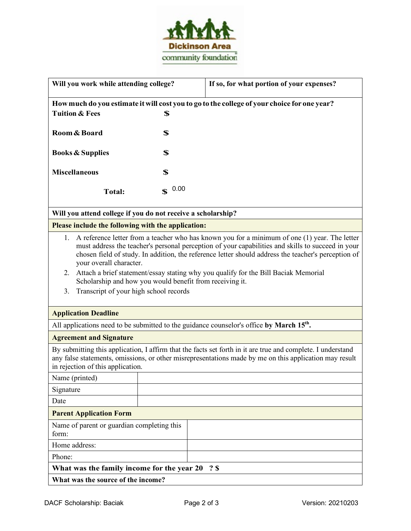

| Will you work while attending college?                                                                                                                                                                                                                                                                                                                                                                                                                                                                                                              |                     | If so, for what portion of your expenses? |  |  |
|-----------------------------------------------------------------------------------------------------------------------------------------------------------------------------------------------------------------------------------------------------------------------------------------------------------------------------------------------------------------------------------------------------------------------------------------------------------------------------------------------------------------------------------------------------|---------------------|-------------------------------------------|--|--|
| How much do you estimate it will cost you to go to the college of your choice for one year?                                                                                                                                                                                                                                                                                                                                                                                                                                                         |                     |                                           |  |  |
| <b>Tuition &amp; Fees</b>                                                                                                                                                                                                                                                                                                                                                                                                                                                                                                                           | \$                  |                                           |  |  |
| Room & Board                                                                                                                                                                                                                                                                                                                                                                                                                                                                                                                                        | \$                  |                                           |  |  |
| <b>Books &amp; Supplies</b>                                                                                                                                                                                                                                                                                                                                                                                                                                                                                                                         | \$                  |                                           |  |  |
| <b>Miscellaneous</b>                                                                                                                                                                                                                                                                                                                                                                                                                                                                                                                                | \$                  |                                           |  |  |
| <b>Total:</b>                                                                                                                                                                                                                                                                                                                                                                                                                                                                                                                                       | 0.00<br>$\mathbf S$ |                                           |  |  |
| Will you attend college if you do not receive a scholarship?                                                                                                                                                                                                                                                                                                                                                                                                                                                                                        |                     |                                           |  |  |
| Please include the following with the application:                                                                                                                                                                                                                                                                                                                                                                                                                                                                                                  |                     |                                           |  |  |
| A reference letter from a teacher who has known you for a minimum of one (1) year. The letter<br>1.<br>must address the teacher's personal perception of your capabilities and skills to succeed in your<br>chosen field of study. In addition, the reference letter should address the teacher's perception of<br>your overall character.<br>Attach a brief statement/essay stating why you qualify for the Bill Baciak Memorial<br>2.<br>Scholarship and how you would benefit from receiving it.<br>Transcript of your high school records<br>3. |                     |                                           |  |  |
| <b>Application Deadline</b>                                                                                                                                                                                                                                                                                                                                                                                                                                                                                                                         |                     |                                           |  |  |
| All applications need to be submitted to the guidance counselor's office by March $15th$ .                                                                                                                                                                                                                                                                                                                                                                                                                                                          |                     |                                           |  |  |
| <b>Agreement and Signature</b>                                                                                                                                                                                                                                                                                                                                                                                                                                                                                                                      |                     |                                           |  |  |
| By submitting this application, I affirm that the facts set forth in it are true and complete. I understand<br>any false statements, omissions, or other misrepresentations made by me on this application may result<br>in rejection of this application.                                                                                                                                                                                                                                                                                          |                     |                                           |  |  |
| Name (printed)                                                                                                                                                                                                                                                                                                                                                                                                                                                                                                                                      |                     |                                           |  |  |
| Signature                                                                                                                                                                                                                                                                                                                                                                                                                                                                                                                                           |                     |                                           |  |  |
| Date                                                                                                                                                                                                                                                                                                                                                                                                                                                                                                                                                |                     |                                           |  |  |
| <b>Parent Application Form</b>                                                                                                                                                                                                                                                                                                                                                                                                                                                                                                                      |                     |                                           |  |  |
| Name of parent or guardian completing this<br>form:                                                                                                                                                                                                                                                                                                                                                                                                                                                                                                 |                     |                                           |  |  |
| Home address:                                                                                                                                                                                                                                                                                                                                                                                                                                                                                                                                       |                     |                                           |  |  |
| Phone:                                                                                                                                                                                                                                                                                                                                                                                                                                                                                                                                              |                     |                                           |  |  |
| What was the family income for the year 20<br>? \$                                                                                                                                                                                                                                                                                                                                                                                                                                                                                                  |                     |                                           |  |  |
| What was the source of the income?                                                                                                                                                                                                                                                                                                                                                                                                                                                                                                                  |                     |                                           |  |  |